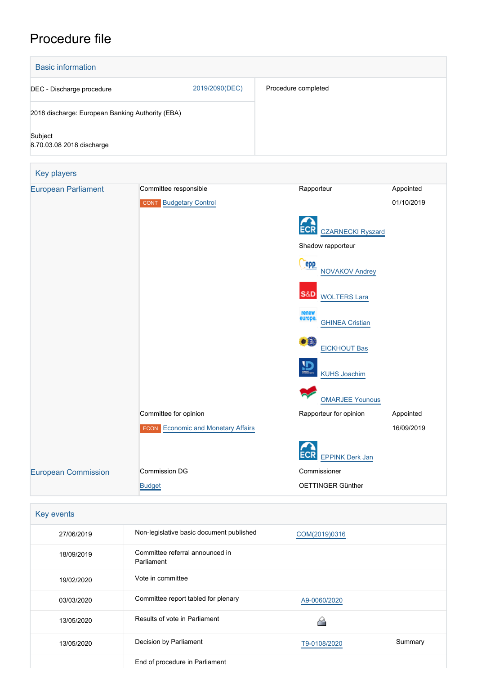# Procedure file



| Key events |                                               |               |         |
|------------|-----------------------------------------------|---------------|---------|
| 27/06/2019 | Non-legislative basic document published      | COM(2019)0316 |         |
| 18/09/2019 | Committee referral announced in<br>Parliament |               |         |
| 19/02/2020 | Vote in committee                             |               |         |
| 03/03/2020 | Committee report tabled for plenary           | A9-0060/2020  |         |
| 13/05/2020 | Results of vote in Parliament                 |               |         |
| 13/05/2020 | Decision by Parliament                        | T9-0108/2020  | Summary |
|            | End of procedure in Parliament                |               |         |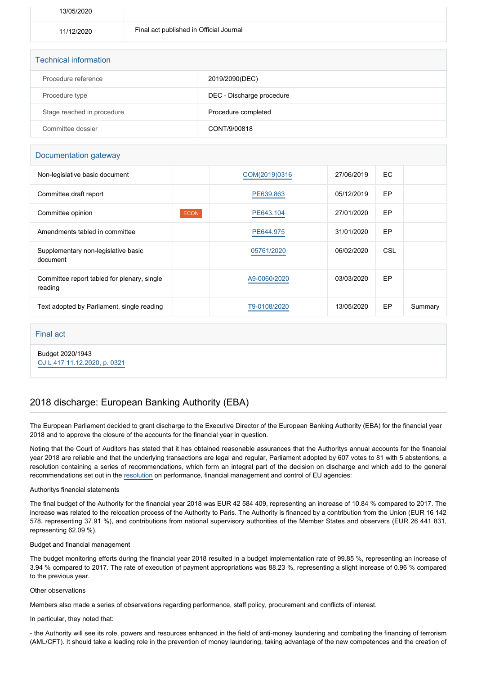| 13/05/2020 |                                         |  |
|------------|-----------------------------------------|--|
| 11/12/2020 | Final act published in Official Journal |  |
|            |                                         |  |

| <b>Technical information</b> |                           |  |  |  |
|------------------------------|---------------------------|--|--|--|
| Procedure reference          | 2019/2090(DEC)            |  |  |  |
| Procedure type               | DEC - Discharge procedure |  |  |  |
| Stage reached in procedure   | Procedure completed       |  |  |  |
| Committee dossier            | CONT/9/00818              |  |  |  |

### Documentation gateway

| Non-legislative basic document                         |             | COM(2019)0316 | 27/06/2019 | EC. |         |
|--------------------------------------------------------|-------------|---------------|------------|-----|---------|
| Committee draft report                                 |             | PE639.863     | 05/12/2019 | EP  |         |
| Committee opinion                                      | <b>ECON</b> | PE643.104     | 27/01/2020 | EP  |         |
| Amendments tabled in committee                         |             | PE644.975     | 31/01/2020 | EP  |         |
| Supplementary non-legislative basic<br>document        |             | 05761/2020    | 06/02/2020 | CSL |         |
| Committee report tabled for plenary, single<br>reading |             | A9-0060/2020  | 03/03/2020 | EP  |         |
| Text adopted by Parliament, single reading             |             | T9-0108/2020  | 13/05/2020 | EP  | Summary |

Final act

Budget 2020/1943 [OJ L 417 11.12.2020, p. 0321](https://eur-lex.europa.eu/legal-content/EN/TXT/?uri=OJ:L:2020:417:TOC)

## 2018 discharge: European Banking Authority (EBA)

The European Parliament decided to grant discharge to the Executive Director of the European Banking Authority (EBA) for the financial year 2018 and to approve the closure of the accounts for the financial year in question.

Noting that the Court of Auditors has stated that it has obtained reasonable assurances that the Authoritys annual accounts for the financial year 2018 are reliable and that the underlying transactions are legal and regular, Parliament adopted by 607 votes to 81 with 5 abstentions, a resolution containing a series of recommendations, which form an integral part of the decision on discharge and which add to the general recommendations set out in the [resolution](https://oeil.secure.europarl.europa.eu/oeil/popups/ficheprocedure.do?lang=en&reference=2019/2098(DEC)) on performance, financial management and control of EU agencies:

#### Authoritys financial statements

The final budget of the Authority for the financial year 2018 was EUR 42 584 409, representing an increase of 10.84 % compared to 2017. The increase was related to the relocation process of the Authority to Paris. The Authority is financed by a contribution from the Union (EUR 16 142 578, representing 37.91 %), and contributions from national supervisory authorities of the Member States and observers (EUR 26 441 831, representing 62.09 %).

#### Budget and financial management

The budget monitoring efforts during the financial year 2018 resulted in a budget implementation rate of 99.85 %, representing an increase of 3.94 % compared to 2017. The rate of execution of payment appropriations was 88.23 %, representing a slight increase of 0.96 % compared to the previous year.

#### Other observations

Members also made a series of observations regarding performance, staff policy, procurement and conflicts of interest.

In particular, they noted that:

- the Authority will see its role, powers and resources enhanced in the field of anti-money laundering and combating the financing of terrorism (AML/CFT). It should take a leading role in the prevention of money laundering, taking advantage of the new competences and the creation of